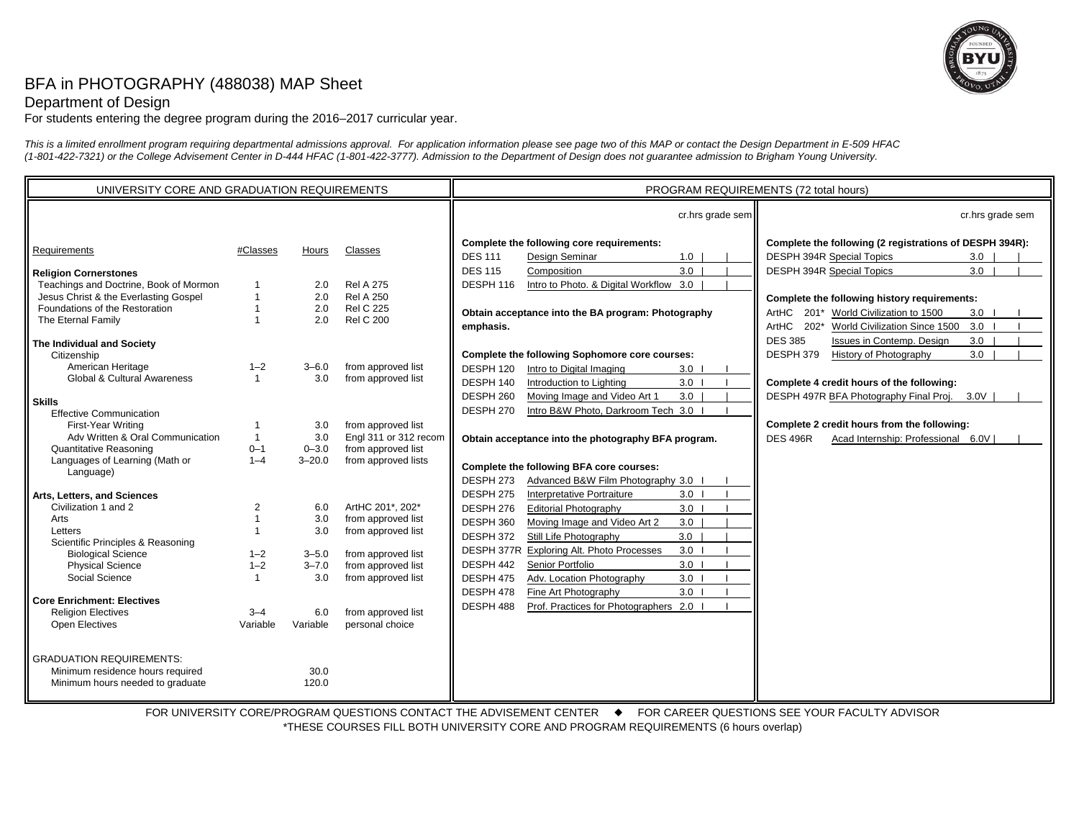

## BFA in PHOTOGRAPHY (488038) MAP Sheet

## Department of Design

For students entering the degree program during the 2016–2017 curricular year.

*This is a limited enrollment program requiring departmental admissions approval. For application information please see page two of this MAP or contact the Design Department in E-509 HFAC (1-801-422-7321) or the College Advisement Center in D-444 HFAC (1-801-422-3777). Admission to the Department of Design does not guarantee admission to Brigham Young University.*

| UNIVERSITY CORE AND GRADUATION REQUIREMENTS                                                                     |                    |                        |                                                              | PROGRAM REQUIREMENTS (72 total hours)                                                                                                                         |                                                                                                                                                                 |
|-----------------------------------------------------------------------------------------------------------------|--------------------|------------------------|--------------------------------------------------------------|---------------------------------------------------------------------------------------------------------------------------------------------------------------|-----------------------------------------------------------------------------------------------------------------------------------------------------------------|
|                                                                                                                 |                    |                        |                                                              | cr.hrs grade sem                                                                                                                                              | cr.hrs grade sem                                                                                                                                                |
| Requirements                                                                                                    | #Classes           | Hours                  | Classes                                                      | Complete the following core requirements:<br><b>DES 111</b><br>Design Seminar<br>1.0                                                                          | Complete the following (2 registrations of DESPH 394R):<br>DESPH 394R Special Topics<br>3.0                                                                     |
| <b>Religion Cornerstones</b><br>Teachings and Doctrine, Book of Mormon<br>Jesus Christ & the Everlasting Gospel |                    | 2.0<br>2.0             | <b>Rel A 275</b><br><b>Rel A 250</b>                         | 3.0<br><b>DES 115</b><br>Composition<br>DESPH 116<br>Intro to Photo. & Digital Workflow 3.0                                                                   | 3.0<br>DESPH 394R Special Topics                                                                                                                                |
| Foundations of the Restoration<br>The Eternal Family                                                            |                    | 2.0<br>2.0             | <b>Rel C 225</b><br><b>Rel C 200</b>                         | Obtain acceptance into the BA program: Photography<br>emphasis.                                                                                               | Complete the following history requirements:<br>World Civilization to 1500<br>ArtHC 201*<br>$3.0$ $\vert$<br>ArtHC 202*<br>World Civilization Since 1500<br>3.0 |
| The Individual and Society<br>Citizenship                                                                       |                    |                        |                                                              | Complete the following Sophomore core courses:                                                                                                                | <b>DES 385</b><br>Issues in Contemp. Design<br>3.0<br>DESPH 379<br>History of Photography<br>3.0                                                                |
| American Heritage<br>Global & Cultural Awareness                                                                | $1 - 2$            | $3 - 6.0$<br>3.0       | from approved list<br>from approved list                     | DESPH 120<br>Intro to Digital Imaging<br>3.0<br>DESPH 140<br>3.0<br>Introduction to Lighting                                                                  | Complete 4 credit hours of the following:                                                                                                                       |
| <b>Skills</b><br><b>Effective Communication</b><br>First-Year Writing                                           |                    | 3.0                    | from approved list                                           | DESPH 260<br>3.0<br>Moving Image and Video Art 1<br>Intro B&W Photo, Darkroom Tech 3.0 I<br>DESPH 270                                                         | DESPH 497R BFA Photography Final Proj. 3.0V<br>Complete 2 credit hours from the following:                                                                      |
| Adv Written & Oral Communication<br><b>Quantitative Reasoning</b>                                               | $0 - 1$            | 3.0<br>$0 - 3.0$       | Engl 311 or 312 recom<br>from approved list                  | Obtain acceptance into the photography BFA program.                                                                                                           | <b>DES 496R</b><br>Acad Internship: Professional 6.0V                                                                                                           |
| Languages of Learning (Math or<br>Language)                                                                     | $1 - 4$            | $3 - 20.0$             | from approved lists                                          | Complete the following BFA core courses:<br>DESPH 273<br>Advanced B&W Film Photography 3.0 I                                                                  |                                                                                                                                                                 |
| Arts, Letters, and Sciences<br>Civilization 1 and 2<br>Arts<br>Letters                                          | 2                  | 6.0<br>3.0<br>3.0      | ArtHC 201*, 202*<br>from approved list<br>from approved list | DESPH 275<br>Interpretative Portraiture<br>3.0<br>DESPH 276<br><b>Editorial Photography</b><br>3.0<br>DESPH 360<br>Moving Image and Video Art 2<br>3.0<br>3.0 |                                                                                                                                                                 |
| Scientific Principles & Reasoning<br><b>Biological Science</b><br><b>Physical Science</b>                       | $1 - 2$<br>$1 - 2$ | $3 - 5.0$<br>$3 - 7.0$ | from approved list<br>from approved list                     | DESPH 372<br>Still Life Photography<br>3.0<br>DESPH 377R<br><b>Exploring Alt. Photo Processes</b><br>3.0<br>DESPH 442<br>Senior Portfolio                     |                                                                                                                                                                 |
| Social Science<br><b>Core Enrichment: Electives</b><br><b>Religion Electives</b>                                | $3 - 4$            | 3.0<br>6.0             | from approved list<br>from approved list                     | 3.0<br>DESPH 475<br>Adv. Location Photography<br>Fine Art Photography<br>$3.0$  <br>DESPH 478<br>DESPH 488<br>Prof. Practices for Photographers 2.0 I         |                                                                                                                                                                 |
| <b>Open Electives</b>                                                                                           | Variable           | Variable               | personal choice                                              |                                                                                                                                                               |                                                                                                                                                                 |
| <b>GRADUATION REQUIREMENTS:</b><br>Minimum residence hours required<br>Minimum hours needed to graduate         |                    | 30.0<br>120.0          |                                                              |                                                                                                                                                               |                                                                                                                                                                 |

FOR UNIVERSITY CORE/PROGRAM QUESTIONS CONTACT THE ADVISEMENT CENTER  $\quad \bullet \quad$  FOR CAREER QUESTIONS SEE YOUR FACULTY ADVISOR \*THESE COURSES FILL BOTH UNIVERSITY CORE AND PROGRAM REQUIREMENTS (6 hours overlap)